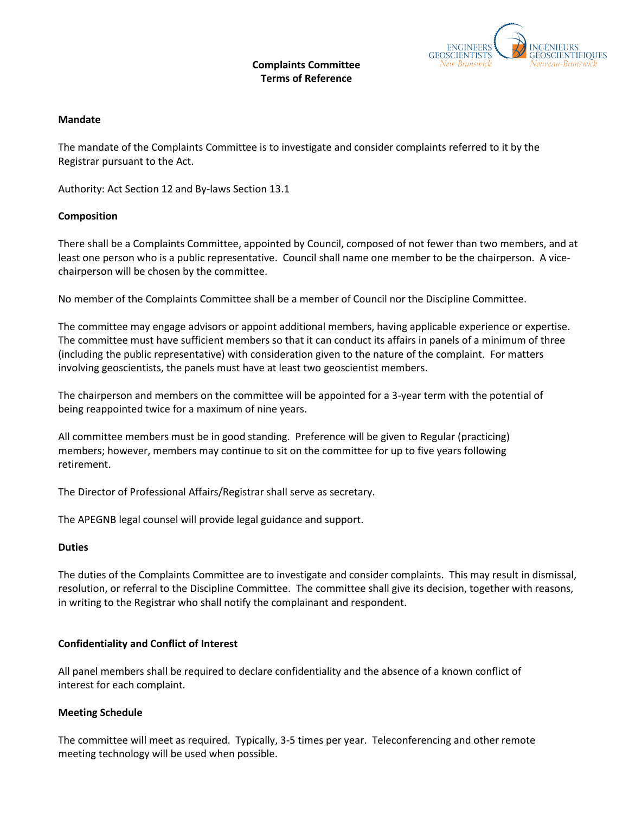### **Complaints Committee Terms of Reference**



### **Mandate**

The mandate of the Complaints Committee is to investigate and consider complaints referred to it by the Registrar pursuant to the Act.

Authority: Act Section 12 and By-laws Section 13.1

### **Composition**

There shall be a Complaints Committee, appointed by Council, composed of not fewer than two members, and at least one person who is a public representative. Council shall name one member to be the chairperson. A vicechairperson will be chosen by the committee.

No member of the Complaints Committee shall be a member of Council nor the Discipline Committee.

The committee may engage advisors or appoint additional members, having applicable experience or expertise. The committee must have sufficient members so that it can conduct its affairs in panels of a minimum of three (including the public representative) with consideration given to the nature of the complaint. For matters involving geoscientists, the panels must have at least two geoscientist members.

The chairperson and members on the committee will be appointed for a 3-year term with the potential of being reappointed twice for a maximum of nine years.

All committee members must be in good standing. Preference will be given to Regular (practicing) members; however, members may continue to sit on the committee for up to five years following retirement.

The Director of Professional Affairs/Registrar shall serve as secretary.

The APEGNB legal counsel will provide legal guidance and support.

#### **Duties**

The duties of the Complaints Committee are to investigate and consider complaints. This may result in dismissal, resolution, or referral to the Discipline Committee. The committee shall give its decision, together with reasons, in writing to the Registrar who shall notify the complainant and respondent.

## **Confidentiality and Conflict of Interest**

All panel members shall be required to declare confidentiality and the absence of a known conflict of interest for each complaint.

## **Meeting Schedule**

The committee will meet as required. Typically, 3-5 times per year. Teleconferencing and other remote meeting technology will be used when possible.